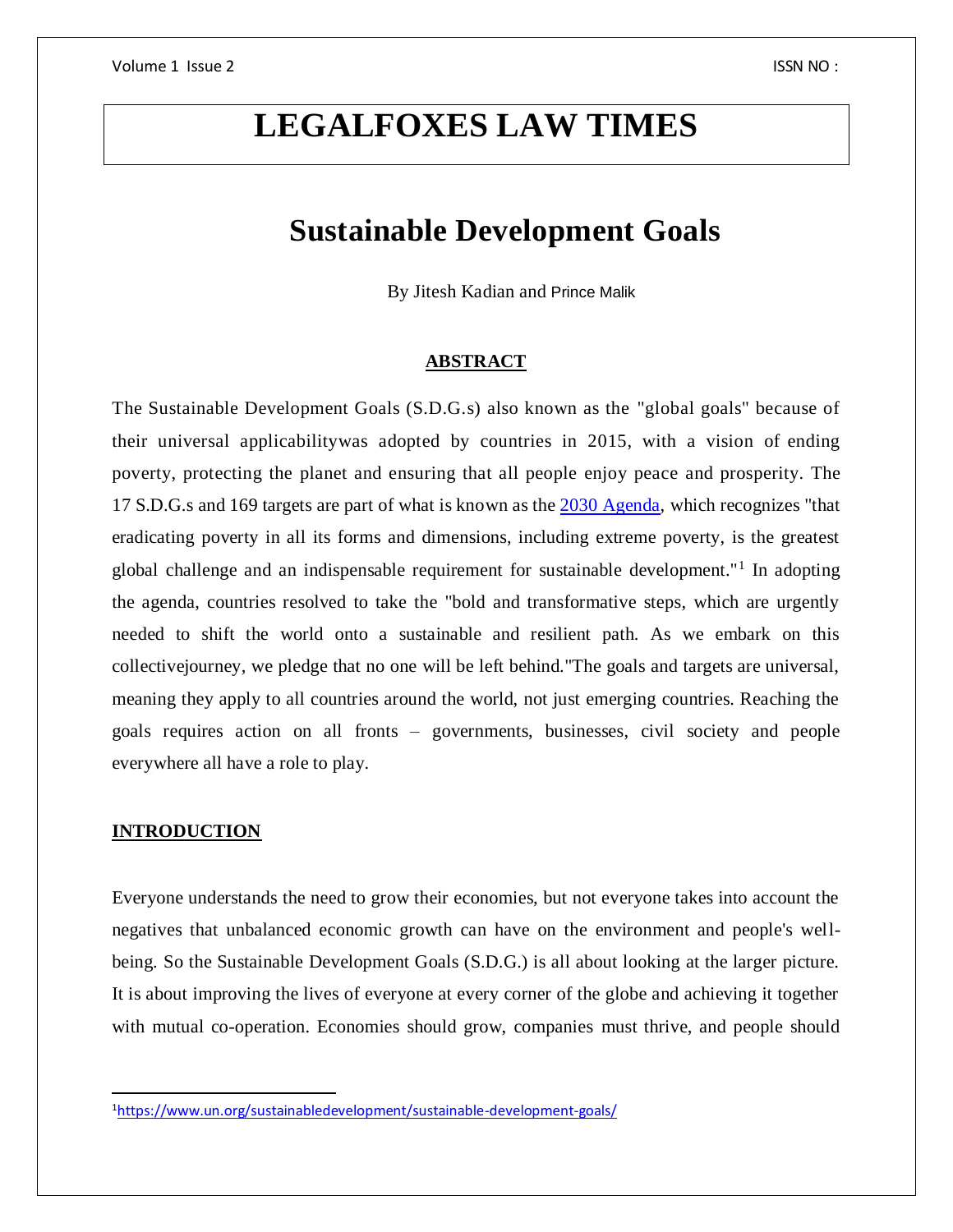# **LEGALFOXES LAW TIMES**

## **Sustainable Development Goals**

By Jitesh Kadian and Prince Malik

### **ABSTRACT**

The Sustainable Development Goals (S.D.G.s) also known as the "global goals" because of their universal applicabilitywas adopted by countries in 2015, with a vision of ending poverty, protecting the planet and ensuring that all people enjoy peace and prosperity. The 17 S.D.G.s and 169 targets are part of what is known as the [2030 Agenda,](https://sustainabledevelopment.un.org/post2015/transformingourworld) which recognizes "that eradicating poverty in all its forms and dimensions, including extreme poverty, is the greatest global challenge and an indispensable requirement for sustainable development."<sup>1</sup> In adopting the agenda, countries resolved to take the "bold and transformative steps, which are urgently needed to shift the world onto a sustainable and resilient path. As we embark on this collectivejourney, we pledge that no one will be left behind."The goals and targets are universal, meaning they apply to all countries around the world, not just emerging countries. Reaching the goals requires action on all fronts – governments, businesses, civil society and people everywhere all have a role to play.

## **INTRODUCTION**

 $\overline{a}$ 

Everyone understands the need to grow their economies, but not everyone takes into account the negatives that unbalanced economic growth can have on the environment and people's wellbeing. So the Sustainable Development Goals (S.D.G.) is all about looking at the larger picture. It is about improving the lives of everyone at every corner of the globe and achieving it together with mutual co-operation. Economies should grow, companies must thrive, and people should

<sup>1</sup><https://www.un.org/sustainabledevelopment/sustainable-development-goals/>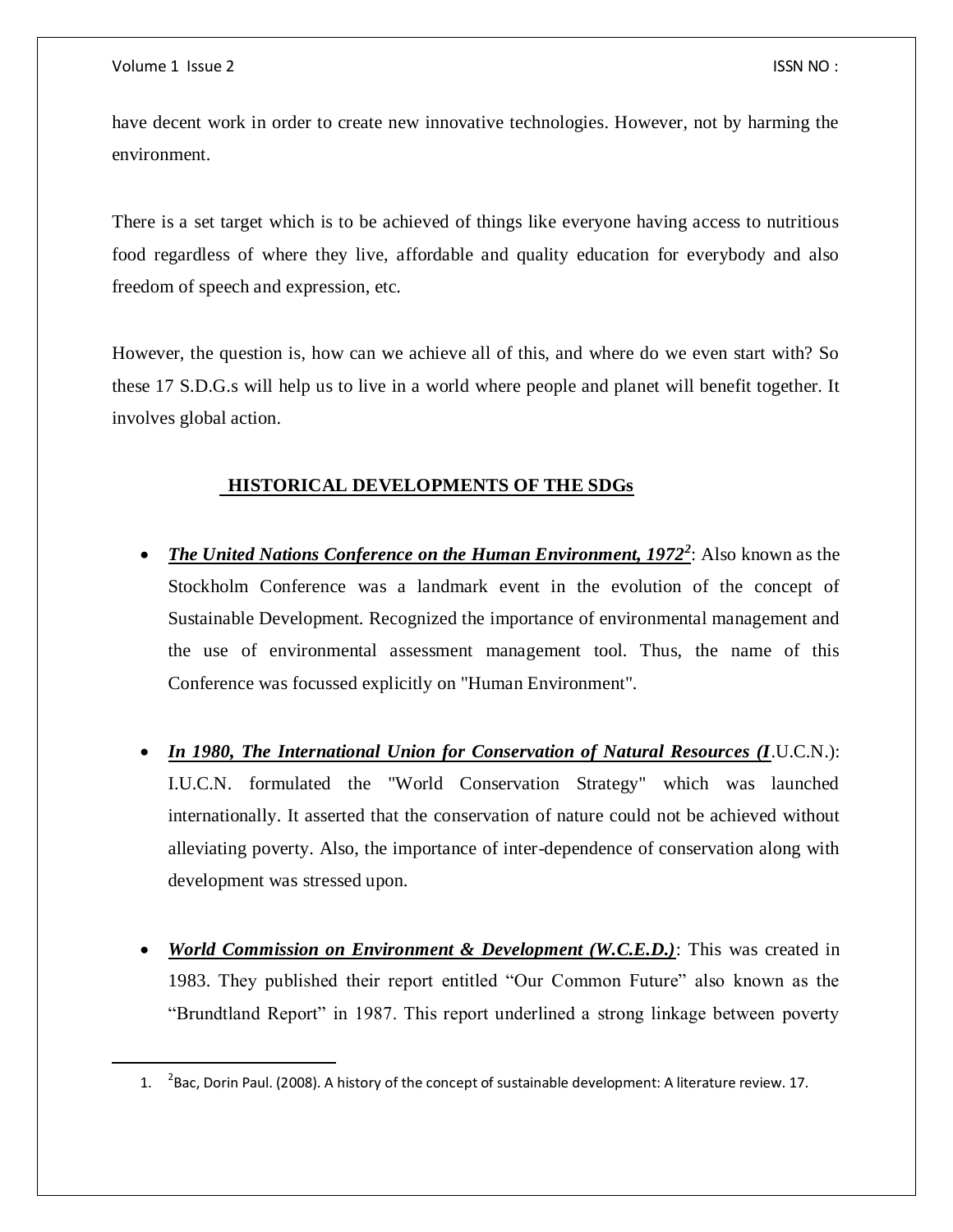$\overline{a}$ 

have decent work in order to create new innovative technologies. However, not by harming the environment.

There is a set target which is to be achieved of things like everyone having access to nutritious food regardless of where they live, affordable and quality education for everybody and also freedom of speech and expression, etc.

However, the question is, how can we achieve all of this, and where do we even start with? So these 17 S.D.G.s will help us to live in a world where people and planet will benefit together. It involves global action.

## **HISTORICAL DEVELOPMENTS OF THE SDGs**

- *The United Nations Conference on the Human Environment, 1972<sup>2</sup>: Also known as the* Stockholm Conference was a landmark event in the evolution of the concept of Sustainable Development. Recognized the importance of environmental management and the use of environmental assessment management tool. Thus, the name of this Conference was focussed explicitly on "Human Environment".
- *In 1980, The International Union for Conservation of Natural Resources (I*.U.C.N.): I.U.C.N. formulated the "World Conservation Strategy" which was launched internationally. It asserted that the conservation of nature could not be achieved without alleviating poverty. Also, the importance of inter-dependence of conservation along with development was stressed upon.
- *World Commission on Environment & Development (W.C.E.D.)*: This was created in 1983. They published their report entitled "Our Common Future" also known as the "Brundtland Report" in 1987. This report underlined a strong linkage between poverty

<sup>1.</sup>  $^{-2}$ Bac, Dorin Paul. (2008). A history of the concept of sustainable development: A literature review. 17.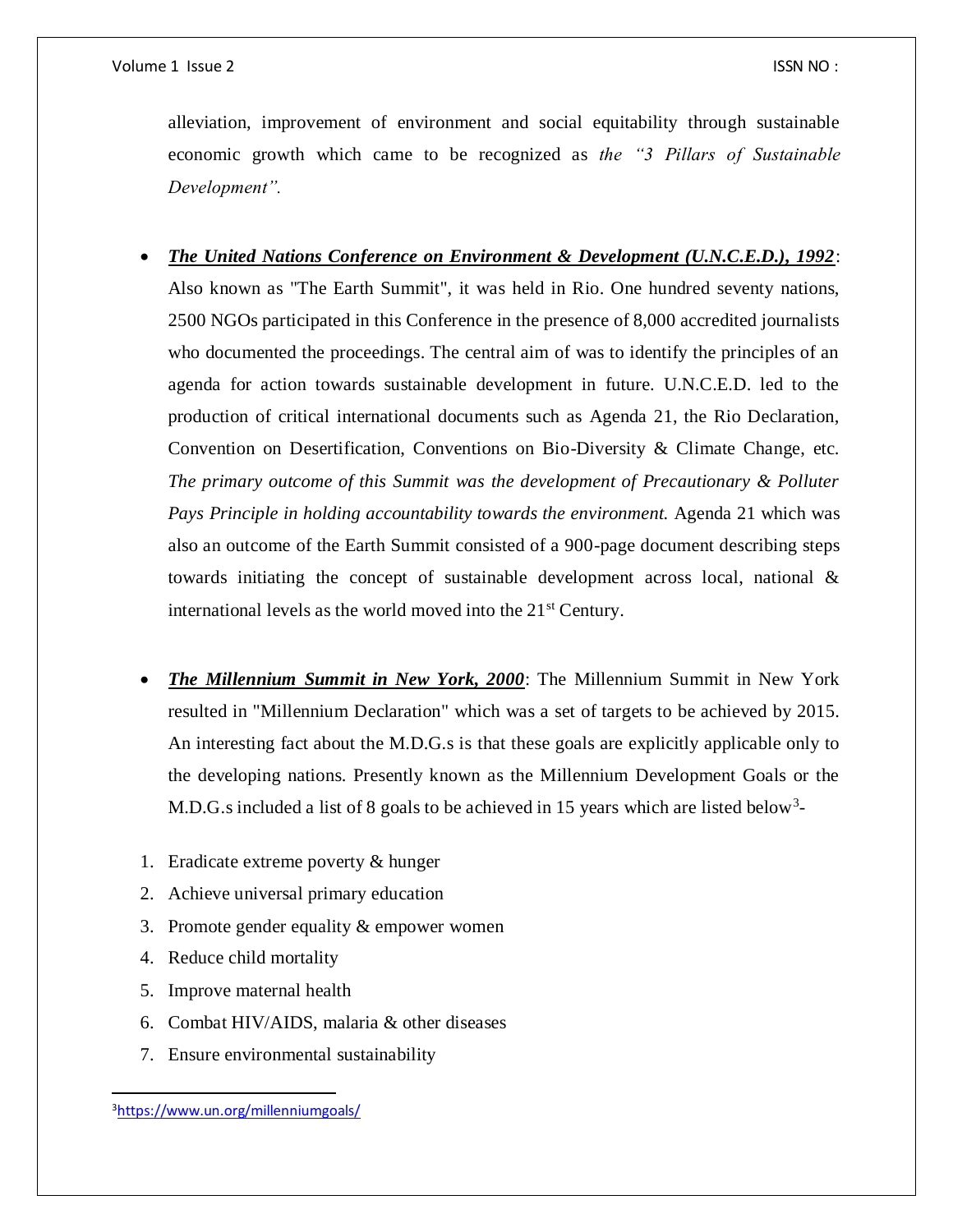alleviation, improvement of environment and social equitability through sustainable economic growth which came to be recognized as *the "3 Pillars of Sustainable Development".*

- *The United Nations Conference on Environment & Development (U.N.C.E.D.), 1992*: Also known as "The Earth Summit", it was held in Rio. One hundred seventy nations, 2500 NGOs participated in this Conference in the presence of 8,000 accredited journalists who documented the proceedings. The central aim of was to identify the principles of an agenda for action towards sustainable development in future. U.N.C.E.D. led to the production of critical international documents such as Agenda 21, the Rio Declaration, Convention on Desertification, Conventions on Bio-Diversity & Climate Change, etc. *The primary outcome of this Summit was the development of Precautionary & Polluter Pays Principle in holding accountability towards the environment.* Agenda 21 which was also an outcome of the Earth Summit consisted of a 900-page document describing steps towards initiating the concept of sustainable development across local, national & international levels as the world moved into the 21<sup>st</sup> Century.
- *The Millennium Summit in New York, 2000*: The Millennium Summit in New York resulted in "Millennium Declaration" which was a set of targets to be achieved by 2015. An interesting fact about the M.D.G.s is that these goals are explicitly applicable only to the developing nations. Presently known as the Millennium Development Goals or the M.D.G.s included a list of 8 goals to be achieved in 15 years which are listed below<sup>3</sup>-
- 1. Eradicate extreme poverty & hunger
- 2. Achieve universal primary education
- 3. Promote gender equality & empower women
- 4. Reduce child mortality
- 5. Improve maternal health
- 6. Combat HIV/AIDS, malaria & other diseases
- 7. Ensure environmental sustainability

 $\overline{a}$ 

<sup>3</sup><https://www.un.org/millenniumgoals/>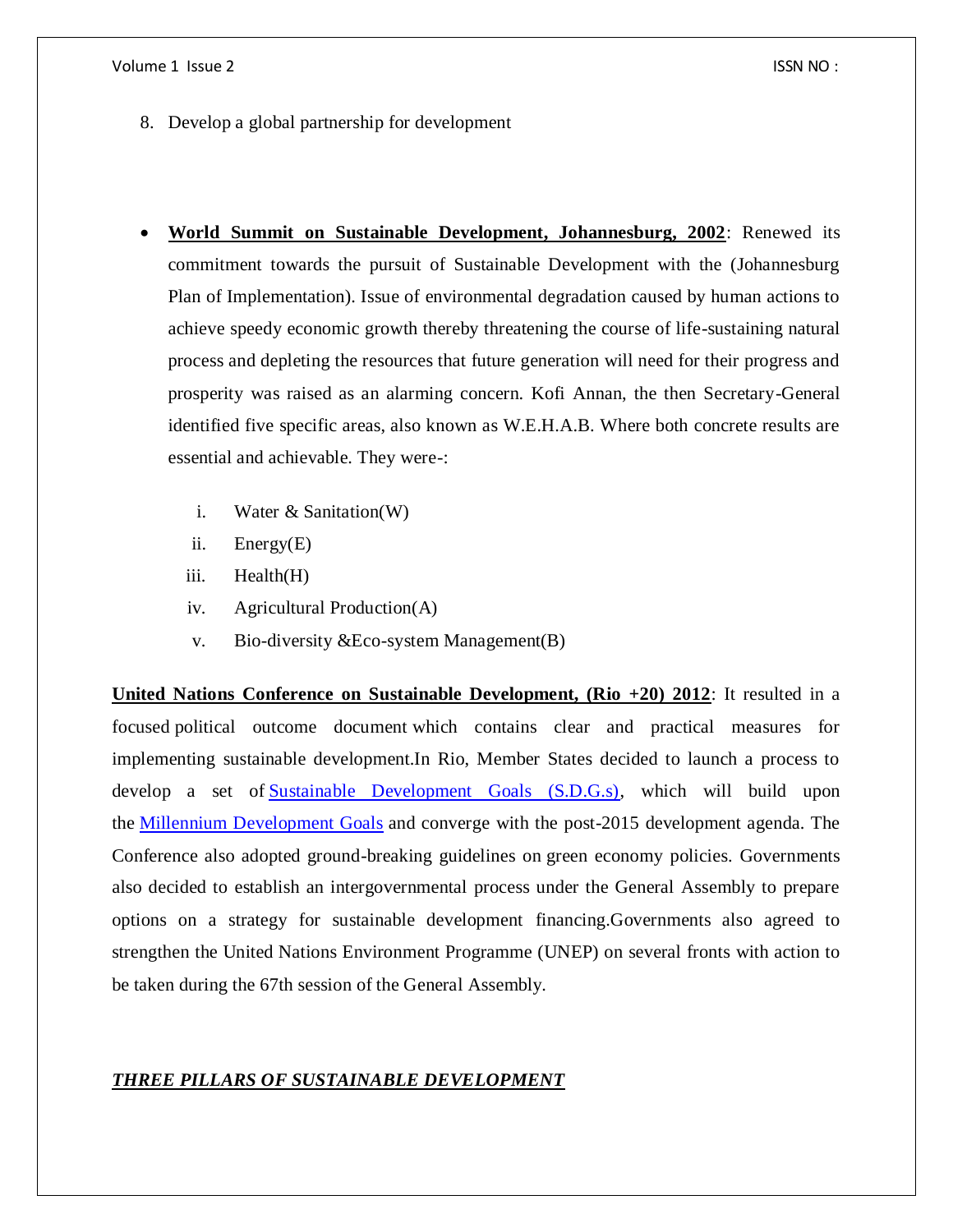- 8. Develop a global partnership for development
- **World Summit on Sustainable Development, Johannesburg, 2002**: Renewed its commitment towards the pursuit of Sustainable Development with the (Johannesburg Plan of Implementation). Issue of environmental degradation caused by human actions to achieve speedy economic growth thereby threatening the course of life-sustaining natural process and depleting the resources that future generation will need for their progress and prosperity was raised as an alarming concern. Kofi Annan, the then Secretary-General identified five specific areas, also known as W.E.H.A.B. Where both concrete results are essential and achievable. They were-:
	- i. Water & Sanitation(W)
	- ii. Energy(E)
	- iii. Health(H)
	- iv. Agricultural Production(A)
	- v. Bio-diversity &Eco-system Management(B)

**United Nations Conference on Sustainable Development, (Rio +20) 2012**: It resulted in a focused political outcome document which contains clear and practical measures for implementing sustainable development.In Rio, Member States decided to launch a process to develop a set of [Sustainable Development Goals \(S.D.G.s\),](https://sustainabledevelopment.un.org/index.php?menu=1300) which will build upon the [Millennium Development Goals](http://www.un.org/millenniumgoals/) and converge with the post-2015 development agenda. The Conference also adopted ground-breaking guidelines on green economy policies. Governments also decided to establish an intergovernmental process under the General Assembly to prepare options on a strategy for sustainable development financing.Governments also agreed to strengthen the United Nations Environment Programme (UNEP) on several fronts with action to be taken during the 67th session of the General Assembly.

## *THREE PILLARS OF SUSTAINABLE DEVELOPMENT*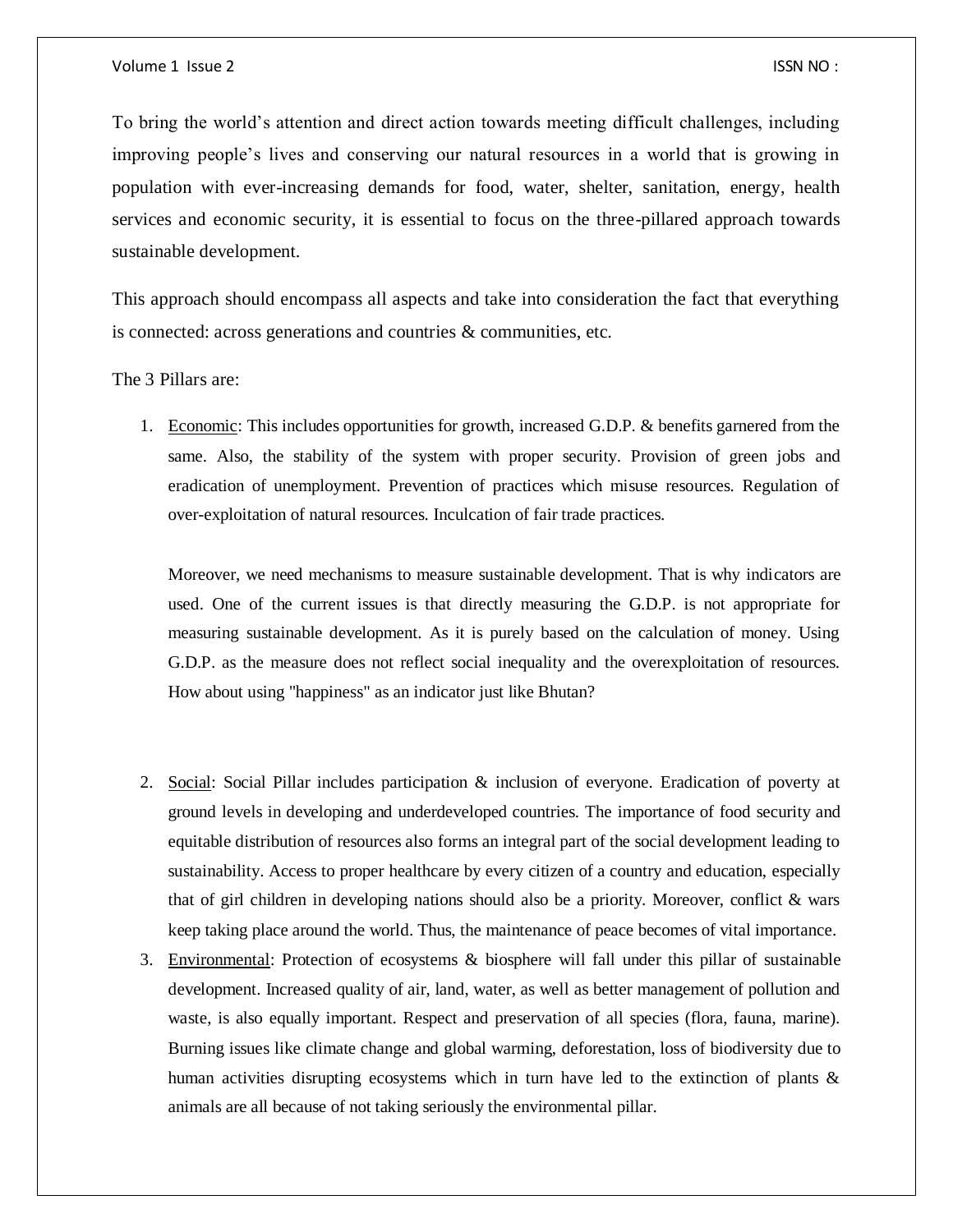To bring the world's attention and direct action towards meeting difficult challenges, including improving people's lives and conserving our natural resources in a world that is growing in population with ever-increasing demands for food, water, shelter, sanitation, energy, health services and economic security, it is essential to focus on the three-pillared approach towards sustainable development.

This approach should encompass all aspects and take into consideration the fact that everything is connected: across generations and countries & communities, etc.

The 3 Pillars are:

1. Economic: This includes opportunities for growth, increased G.D.P. & benefits garnered from the same. Also, the stability of the system with proper security. Provision of green jobs and eradication of unemployment. Prevention of practices which misuse resources. Regulation of over-exploitation of natural resources. Inculcation of fair trade practices.

Moreover, we need mechanisms to measure sustainable development. That is why indicators are used. One of the current issues is that directly measuring the G.D.P. is not appropriate for measuring sustainable development. As it is purely based on the calculation of money. Using G.D.P. as the measure does not reflect social inequality and the overexploitation of resources. How about using "happiness" as an indicator just like Bhutan?

- 2. Social: Social Pillar includes participation & inclusion of everyone. Eradication of poverty at ground levels in developing and underdeveloped countries. The importance of food security and equitable distribution of resources also forms an integral part of the social development leading to sustainability. Access to proper healthcare by every citizen of a country and education, especially that of girl children in developing nations should also be a priority. Moreover, conflict & wars keep taking place around the world. Thus, the maintenance of peace becomes of vital importance.
- 3. Environmental: Protection of ecosystems & biosphere will fall under this pillar of sustainable development. Increased quality of air, land, water, as well as better management of pollution and waste, is also equally important. Respect and preservation of all species (flora, fauna, marine). Burning issues like climate change and global warming, deforestation, loss of biodiversity due to human activities disrupting ecosystems which in turn have led to the extinction of plants & animals are all because of not taking seriously the environmental pillar.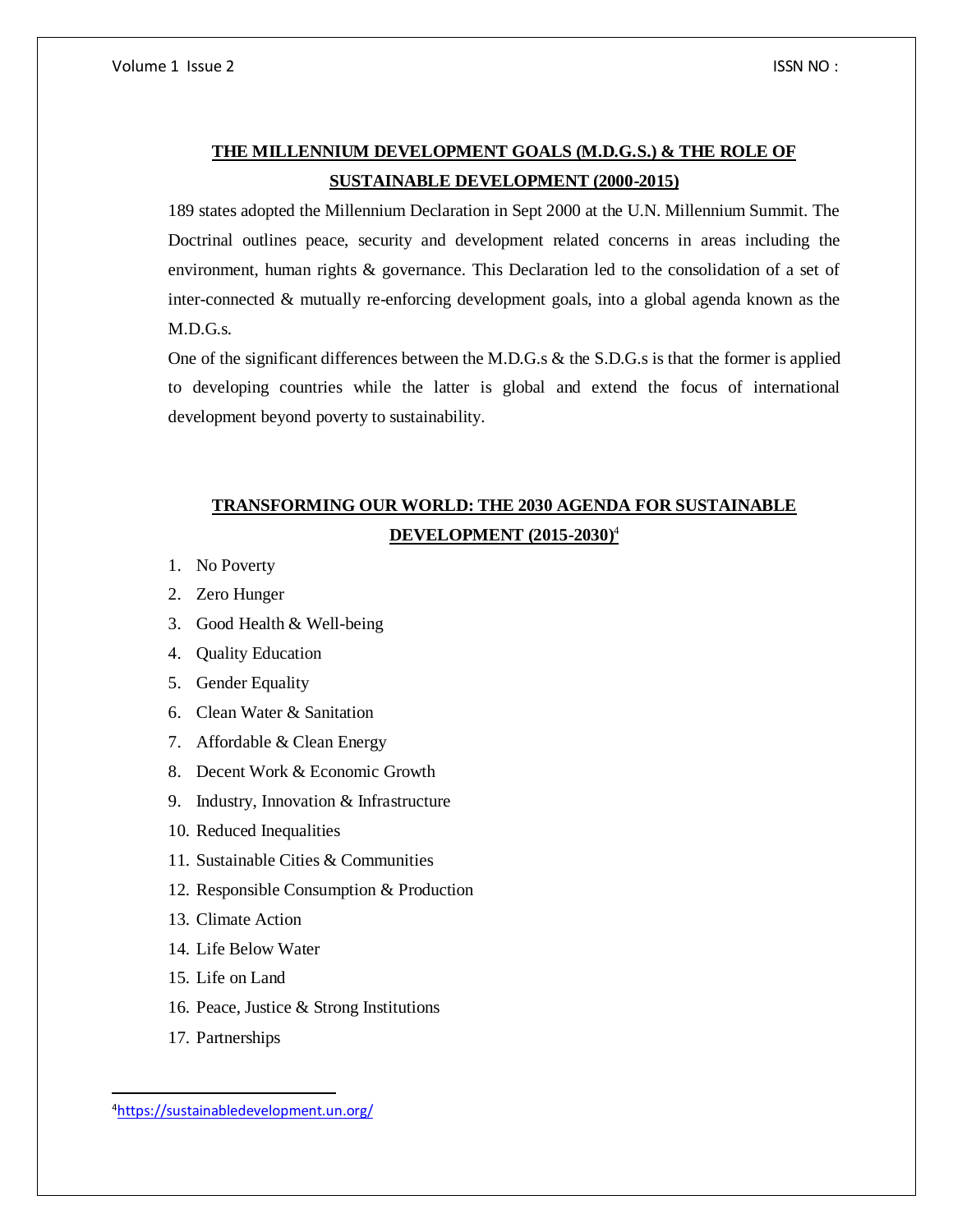## **THE MILLENNIUM DEVELOPMENT GOALS (M.D.G.S.) & THE ROLE OF SUSTAINABLE DEVELOPMENT (2000-2015)**

189 states adopted the Millennium Declaration in Sept 2000 at the U.N. Millennium Summit. The Doctrinal outlines peace, security and development related concerns in areas including the environment, human rights & governance. This Declaration led to the consolidation of a set of inter-connected & mutually re-enforcing development goals, into a global agenda known as the M.D.G.s.

One of the significant differences between the M.D.G.s & the S.D.G.s is that the former is applied to developing countries while the latter is global and extend the focus of international development beyond poverty to sustainability.

## **TRANSFORMING OUR WORLD: THE 2030 AGENDA FOR SUSTAINABLE DEVELOPMENT (2015-2030)**<sup>4</sup>

- 1. No Poverty
- 2. Zero Hunger
- 3. Good Health & Well-being
- 4. Quality Education
- 5. Gender Equality
- 6. Clean Water & Sanitation
- 7. Affordable & Clean Energy
- 8. Decent Work & Economic Growth
- 9. Industry, Innovation & Infrastructure
- 10. Reduced Inequalities
- 11. Sustainable Cities & Communities
- 12. Responsible Consumption & Production
- 13. Climate Action
- 14. Life Below Water
- 15. Life on Land
- 16. Peace, Justice & Strong Institutions
- 17. Partnerships

 $\overline{a}$ 

<sup>4</sup><https://sustainabledevelopment.un.org/>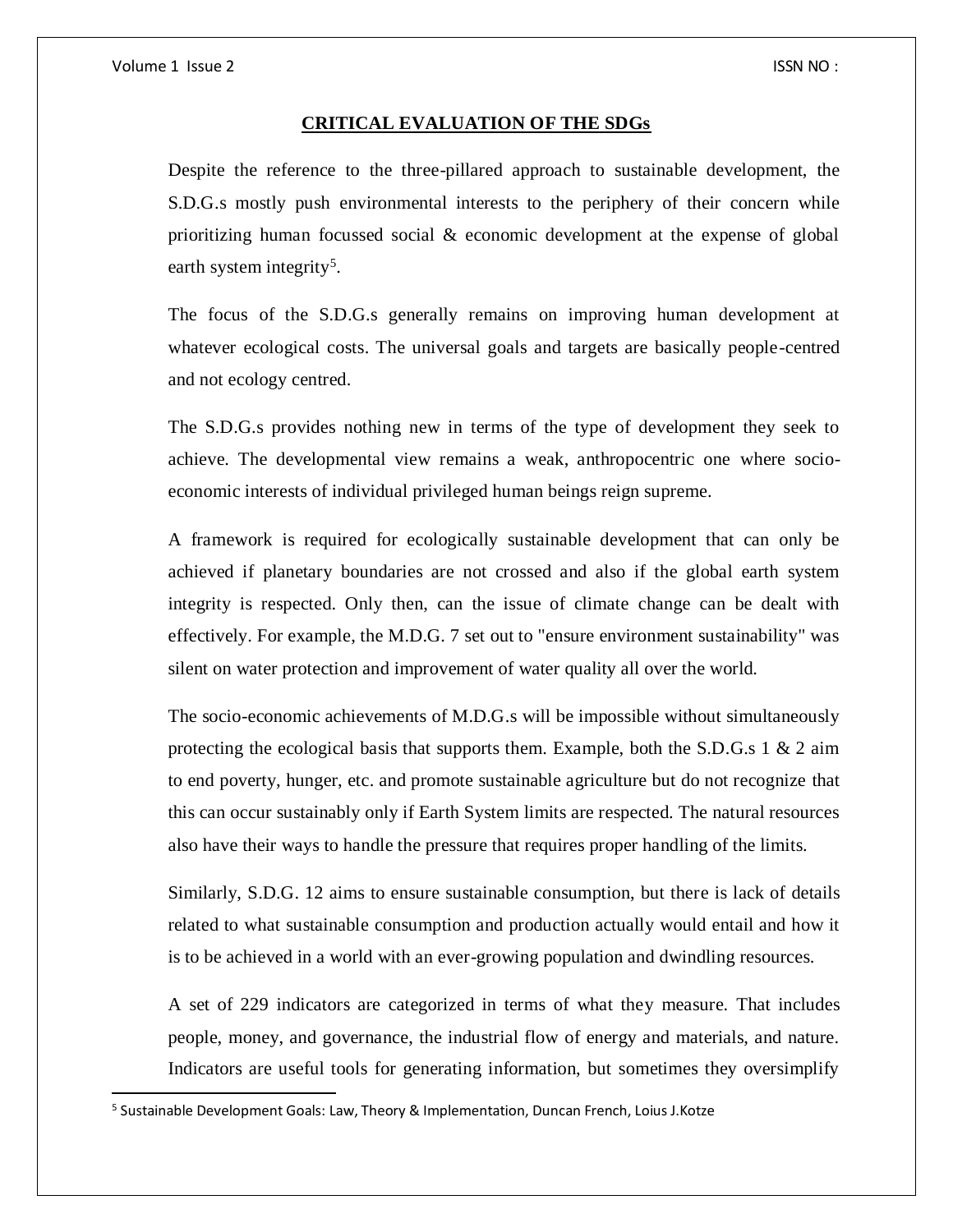$\overline{a}$ 

#### **CRITICAL EVALUATION OF THE SDGs**

Despite the reference to the three-pillared approach to sustainable development, the S.D.G.s mostly push environmental interests to the periphery of their concern while prioritizing human focussed social & economic development at the expense of global earth system integrity<sup>5</sup>.

The focus of the S.D.G.s generally remains on improving human development at whatever ecological costs. The universal goals and targets are basically people-centred and not ecology centred.

The S.D.G.s provides nothing new in terms of the type of development they seek to achieve. The developmental view remains a weak, anthropocentric one where socioeconomic interests of individual privileged human beings reign supreme.

A framework is required for ecologically sustainable development that can only be achieved if planetary boundaries are not crossed and also if the global earth system integrity is respected. Only then, can the issue of climate change can be dealt with effectively. For example, the M.D.G. 7 set out to "ensure environment sustainability" was silent on water protection and improvement of water quality all over the world.

The socio-economic achievements of M.D.G.s will be impossible without simultaneously protecting the ecological basis that supports them. Example, both the S.D.G.s  $1 \& 2 \text{ aim}$ to end poverty, hunger, etc. and promote sustainable agriculture but do not recognize that this can occur sustainably only if Earth System limits are respected. The natural resources also have their ways to handle the pressure that requires proper handling of the limits.

Similarly, S.D.G. 12 aims to ensure sustainable consumption, but there is lack of details related to what sustainable consumption and production actually would entail and how it is to be achieved in a world with an ever-growing population and dwindling resources.

A set of 229 indicators are categorized in terms of what they measure. That includes people, money, and governance, the industrial flow of energy and materials, and nature. Indicators are useful tools for generating information, but sometimes they oversimplify

<sup>&</sup>lt;sup>5</sup> Sustainable Development Goals: Law, Theory & Implementation, Duncan French, Loius J.Kotze